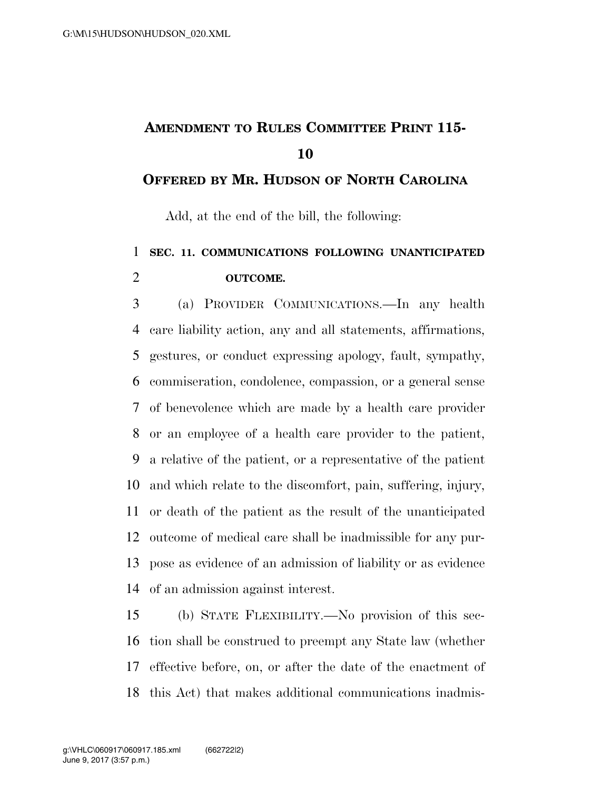## **AMENDMENT TO RULES COMMITTEE PRINT 115-**

## **OFFERED BY MR. HUDSON OF NORTH CAROLINA**

Add, at the end of the bill, the following:

## **SEC. 11. COMMUNICATIONS FOLLOWING UNANTICIPATED OUTCOME.**

 (a) PROVIDER COMMUNICATIONS.—In any health care liability action, any and all statements, affirmations, gestures, or conduct expressing apology, fault, sympathy, commiseration, condolence, compassion, or a general sense of benevolence which are made by a health care provider or an employee of a health care provider to the patient, a relative of the patient, or a representative of the patient and which relate to the discomfort, pain, suffering, injury, or death of the patient as the result of the unanticipated outcome of medical care shall be inadmissible for any pur- pose as evidence of an admission of liability or as evidence of an admission against interest.

 (b) STATE FLEXIBILITY.—No provision of this sec- tion shall be construed to preempt any State law (whether effective before, on, or after the date of the enactment of this Act) that makes additional communications inadmis-